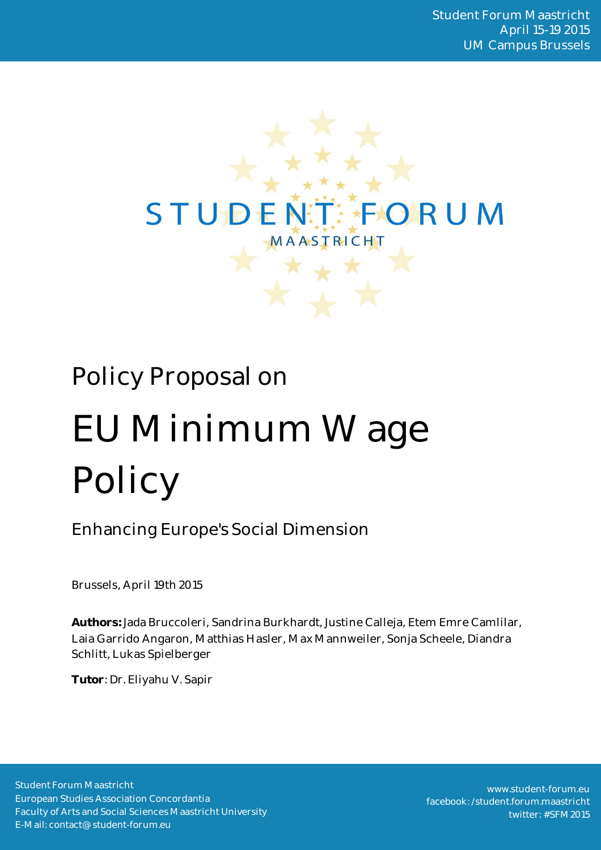

# Policy Proposal on EU Minimum Wage Policy

Enhancing Europe's Social Dimension

Brussels, April 19th 2015

**Authors:** Jada Bruccoleri, Sandrina Burkhardt, Justine Calleja, Etem Emre Camlilar, Laia Garrido Angaron, Matthias Hasler, Max Mannweiler, Sonja Scheele, Diandra Schlitt, Lukas Spielberger

**Tutor**: Dr. Eliyahu V. Sapir

Student Forum Maastricht European Studies Association Concordantia Faculty of Arts and Social Sciences Maastricht University E-Mail: contact@student-forum.eu

www.student-forum.eu facebook: /student.forum.maastricht twitter: #SFM2015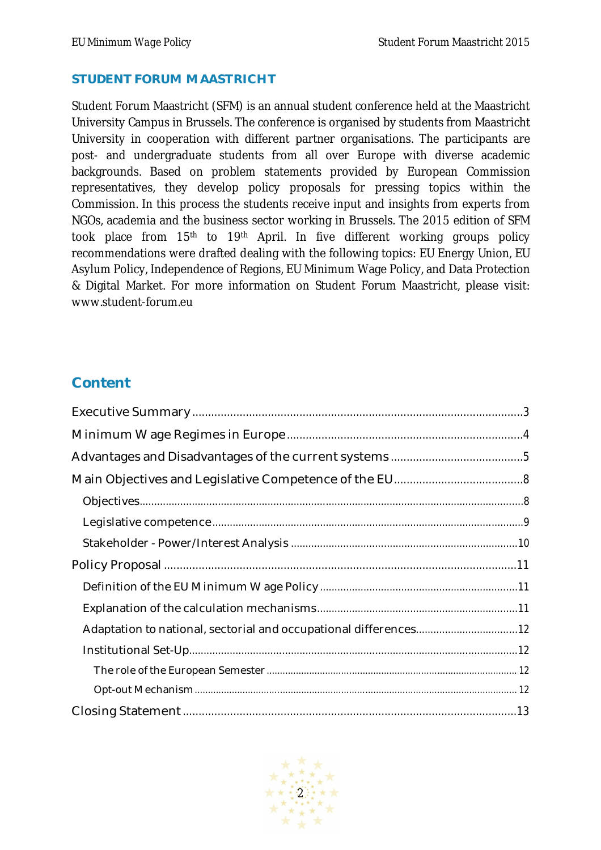#### **STUDENT FORUM MAASTRICHT**

Student Forum Maastricht (SFM) is an annual student conference held at the Maastricht University Campus in Brussels. The conference is organised by students from Maastricht University in cooperation with different partner organisations. The participants are post- and undergraduate students from all over Europe with diverse academic backgrounds. Based on problem statements provided by European Commission representatives, they develop policy proposals for pressing topics within the Commission. In this process the students receive input and insights from experts from NGOs, academia and the business sector working in Brussels. The 2015 edition of SFM took place from 15<sup>th</sup> to 19<sup>th</sup> April. In five different working groups policy recommendations were drafted dealing with the following topics: EU Energy Union, EU Asylum Policy, Independence of Regions, EU Minimum Wage Policy, and Data Protection & Digital Market. For more information on Student Forum Maastricht, please visit: www.student-forum.eu

# **Content**

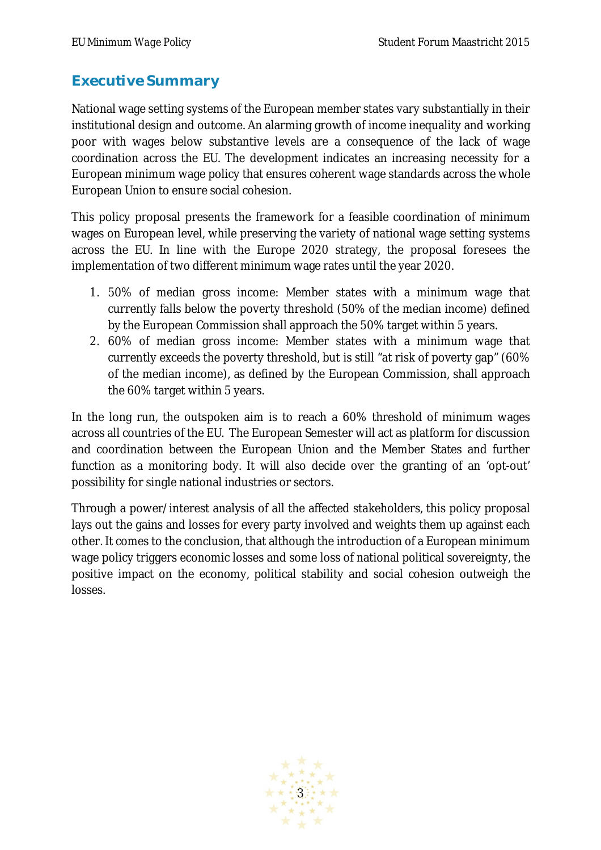# **Executive Summary**

National wage setting systems of the European member states vary substantially in their institutional design and outcome. An alarming growth of income inequality and working poor with wages below substantive levels are a consequence of the lack of wage coordination across the EU. The development indicates an increasing necessity for a European minimum wage policy that ensures coherent wage standards across the whole European Union to ensure social cohesion.

This policy proposal presents the framework for a feasible coordination of minimum wages on European level, while preserving the variety of national wage setting systems across the EU. In line with the Europe 2020 strategy, the proposal foresees the implementation of two different minimum wage rates until the year 2020.

- 1. 50% of median gross income: Member states with a minimum wage that currently falls below the poverty threshold (50% of the median income) defined by the European Commission shall approach the 50% target within 5 years.
- 2. 60% of median gross income: Member states with a minimum wage that currently exceeds the poverty threshold, but is still "at risk of poverty gap" (60% of the median income), as defined by the European Commission, shall approach the 60% target within 5 years.

In the long run, the outspoken aim is to reach a 60% threshold of minimum wages across all countries of the EU. The European Semester will act as platform for discussion and coordination between the European Union and the Member States and further function as a monitoring body. It will also decide over the granting of an 'opt-out' possibility for single national industries or sectors.

Through a power/interest analysis of all the affected stakeholders, this policy proposal lays out the gains and losses for every party involved and weights them up against each other. It comes to the conclusion, that although the introduction of a European minimum wage policy triggers economic losses and some loss of national political sovereignty, the positive impact on the economy, political stability and social cohesion outweigh the losses.

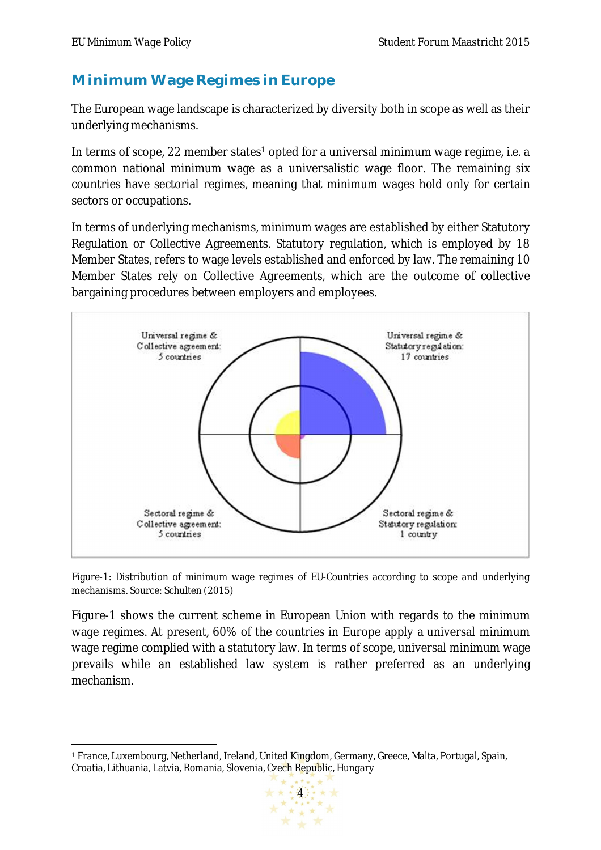# **Minimum Wage Regimes in Europe**

The European wage landscape is characterized by diversity both in scope as well as their underlying mechanisms.

In terms of scope, 22 member states<sup>1</sup> opted for a universal minimum wage regime, i.e. a common national minimum wage as a universalistic wage floor. The remaining six countries have sectorial regimes, meaning that minimum wages hold only for certain sectors or occupations.

In terms of underlying mechanisms, minimum wages are established by either Statutory Regulation or Collective Agreements. Statutory regulation, which is employed by 18 Member States, refers to wage levels established and enforced by law. The remaining 10 Member States rely on Collective Agreements, which are the outcome of collective bargaining procedures between employers and employees.



Figure-1: Distribution of minimum wage regimes of EU-Countries according to scope and underlying mechanisms. Source: Schulten (2015)

Figure-1 shows the current scheme in European Union with regards to the minimum wage regimes. At present, 60% of the countries in Europe apply a universal minimum wage regime complied with a statutory law. In terms of scope, universal minimum wage prevails while an established law system is rather preferred as an underlying mechanism.

 $\ddot{\phantom{a}}$ <sup>1</sup> France, Luxembourg, Netherland, Ireland, United Kingdom, Germany, Greece, Malta, Portugal, Spain, Croatia, Lithuania, Latvia, Romania, Slovenia, Czech Republic, Hungary

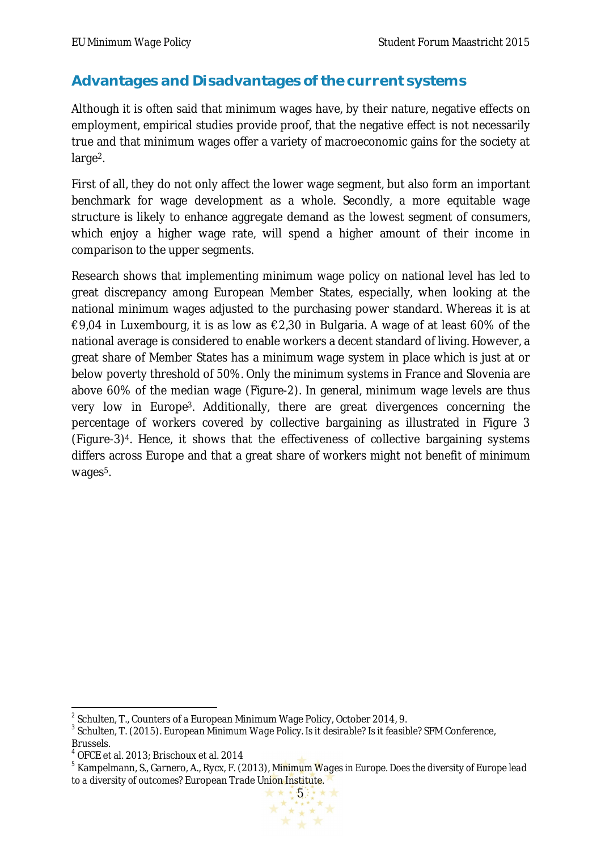# **Advantages and Disadvantages of the current systems**

Although it is often said that minimum wages have, by their nature, negative effects on employment, empirical studies provide proof, that the negative effect is not necessarily true and that minimum wages offer a variety of macroeconomic gains for the society at large 2.

First of all, they do not only affect the lower wage segment, but also form an important benchmark for wage development as a whole. Secondly, a more equitable wage structure is likely to enhance aggregate demand as the lowest segment of consumers, which enjoy a higher wage rate, will spend a higher amount of their income in comparison to the upper segments.

Research shows that implementing minimum wage policy on national level has led to great discrepancy among European Member States, especially, when looking at the national minimum wages adjusted to the purchasing power standard. Whereas it is at €9,04 in Luxembourg, it is as low as  $€2,30$  in Bulgaria. A wage of at least 60% of the national average is considered to enable workers a decent standard of living. However, a great share of Member States has a minimum wage system in place which is just at or below poverty threshold of 50%. Only the minimum systems in France and Slovenia are above 60% of the median wage (Figure-2). In general, minimum wage levels are thus very low in Europe3. Additionally, there are great divergences concerning the percentage of workers covered by collective bargaining as illustrated in Figure 3 (Figure-3)4. Hence, it shows that the effectiveness of collective bargaining systems differs across Europe and that a great share of workers might not benefit of minimum wages<sup>5</sup>.

<sup>5</sup> Kampelmann, S., Garnero, A., Rycx, F. (2013), *Minimum Wages in Europe. Does the diversity of Europe lead to a diversity of outcomes?* European Trade Union Institute.



 2 Schulten, T., Counters of a European Minimum Wage Policy, October 2014, 9.

<sup>3</sup> Schulten, T. (2015). *European Minimum Wage Policy. Is it desirable? Is it feasible?* SFM Conference, Brussels.

<sup>4</sup> OFCE et al. 2013; Brischoux et al. 2014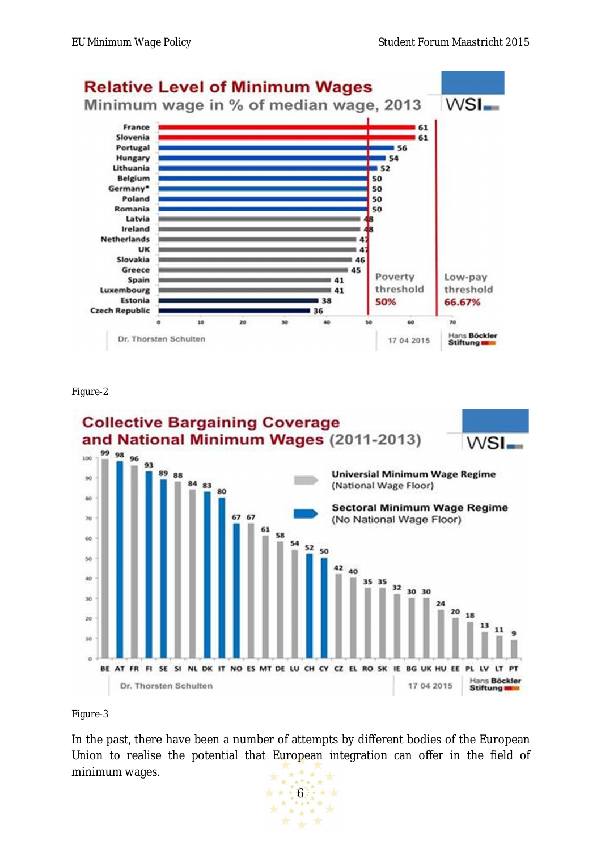

Figure-2



#### Figure-3

In the past, there have been a number of attempts by different bodies of the European Union to realise the potential that European integration can offer in the field of minimum wages. $\star$  $\rightarrow$ 

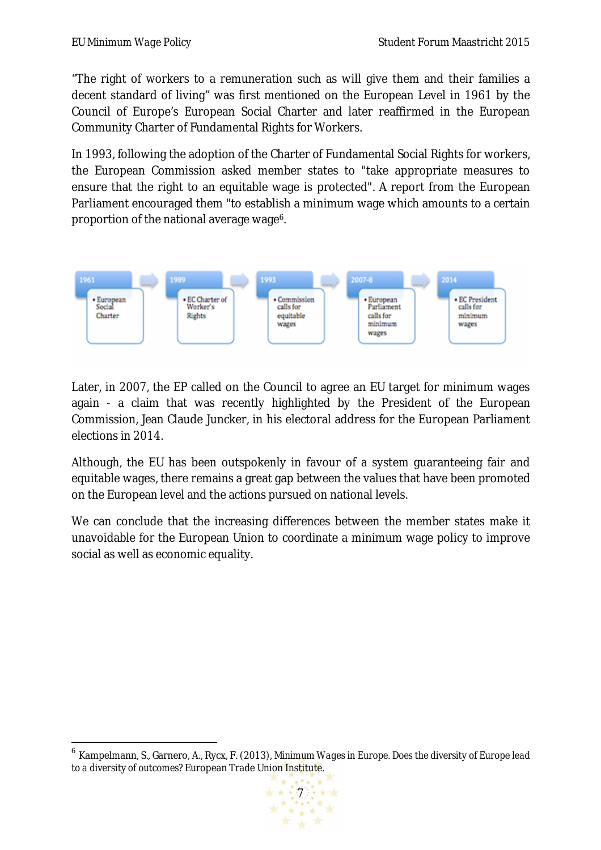1

"The right of workers to a remuneration such as will give them and their families a decent standard of living" was first mentioned on the European Level in 1961 by the Council of Europe's European Social Charter and later reaffirmed in the European Community Charter of Fundamental Rights for Workers.

In 1993, following the adoption of the Charter of Fundamental Social Rights for workers, the European Commission asked member states to "take appropriate measures to ensure that the right to an equitable wage is protected". A report from the European Parliament encouraged them "to establish a minimum wage which amounts to a certain proportion of the national average wage<sup>6</sup>.



Later, in 2007, the EP called on the Council to agree an EU target for minimum wages again - a claim that was recently highlighted by the President of the European Commission, Jean Claude Juncker, in his electoral address for the European Parliament elections in 2014.

Although, the EU has been outspokenly in favour of a system guaranteeing fair and equitable wages, there remains a great gap between the values that have been promoted on the European level and the actions pursued on national levels.

We can conclude that the increasing differences between the member states make it unavoidable for the European Union to coordinate a minimum wage policy to improve social as well as economic equality.

<sup>6</sup> Kampelmann, S., Garnero, A., Rycx, F. (2013), *Minimum Wages in Europe. Does the diversity of Europe lead to a diversity of outcomes?* European Trade Union Institute.

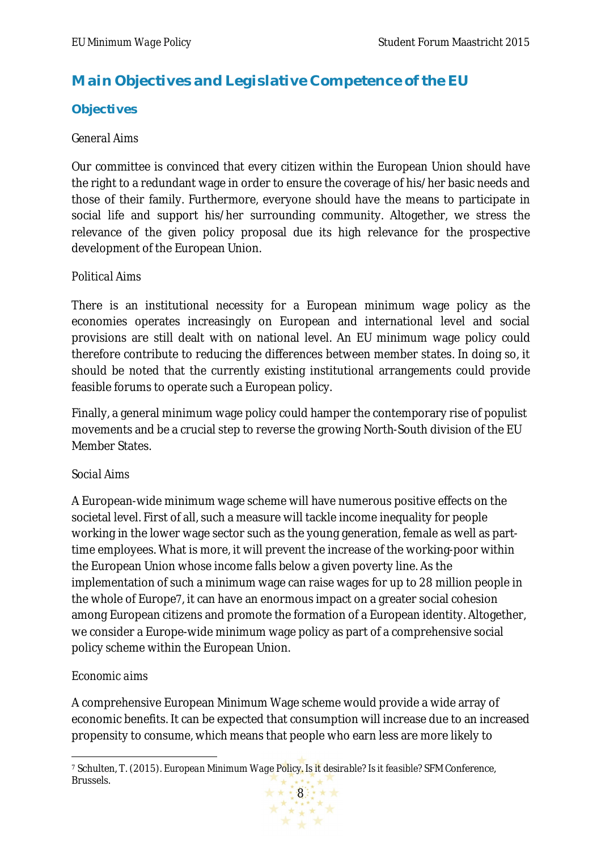# **Main Objectives and Legislative Competence of the EU**

## **Objectives**

#### *General Aims*

Our committee is convinced that every citizen within the European Union should have the right to a redundant wage in order to ensure the coverage of his/her basic needs and those of their family. Furthermore, everyone should have the means to participate in social life and support his/her surrounding community. Altogether, we stress the relevance of the given policy proposal due its high relevance for the prospective development of the European Union.

#### *Political Aims*

There is an institutional necessity for a European minimum wage policy as the economies operates increasingly on European and international level and social provisions are still dealt with on national level. An EU minimum wage policy could therefore contribute to reducing the differences between member states. In doing so, it should be noted that the currently existing institutional arrangements could provide feasible forums to operate such a European policy.

Finally, a general minimum wage policy could hamper the contemporary rise of populist movements and be a crucial step to reverse the growing North-South division of the EU Member States.

#### *Social Aims*

A European-wide minimum wage scheme will have numerous positive effects on the societal level. First of all, such a measure will tackle income inequality for people working in the lower wage sector such as the young generation, female as well as parttime employees. What is more, it will prevent the increase of the working-poor within the European Union whose income falls below a given poverty line. As the implementation of such a minimum wage can raise wages for up to 28 million people in the whole of Europe7, it can have an enormous impact on a greater social cohesion among European citizens and promote the formation of a European identity. Altogether, we consider a Europe-wide minimum wage policy as part of a comprehensive social policy scheme within the European Union.

## *Economic aims*

A comprehensive European Minimum Wage scheme would provide a wide array of economic benefits. It can be expected that consumption will increase due to an increased propensity to consume, which means that people who earn less are more likely to

 $\overline{a}$ <sup>7</sup> Schulten, T. (2015). *European Minimum Wage Policy. Is it desirable? Is it feasible?* SFM Conference, Brussels.

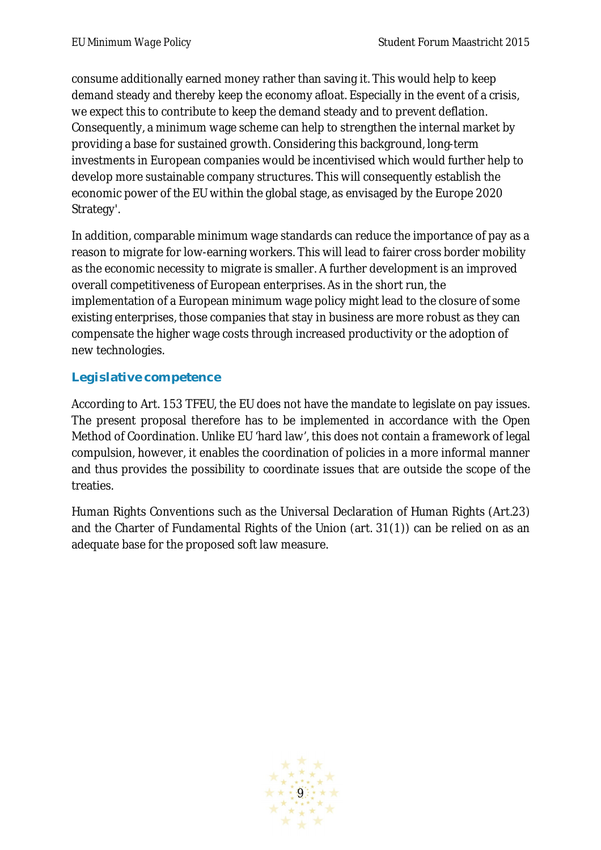consume additionally earned money rather than saving it. This would help to keep demand steady and thereby keep the economy afloat. Especially in the event of a crisis, we expect this to contribute to keep the demand steady and to prevent deflation. Consequently, a minimum wage scheme can help to strengthen the internal market by providing a base for sustained growth. Considering this background, long-term investments in European companies would be incentivised which would further help to develop more sustainable company structures. This will consequently establish the economic power of the EU within the global stage, as envisaged by the Europe 2020 Strategy'.

In addition, comparable minimum wage standards can reduce the importance of pay as a reason to migrate for low-earning workers. This will lead to fairer cross border mobility as the economic necessity to migrate is smaller. A further development is an improved overall competitiveness of European enterprises. As in the short run, the implementation of a European minimum wage policy might lead to the closure of some existing enterprises, those companies that stay in business are more robust as they can compensate the higher wage costs through increased productivity or the adoption of new technologies.

## **Legislative competence**

According to Art. 153 TFEU, the EU does not have the mandate to legislate on pay issues. The present proposal therefore has to be implemented in accordance with the Open Method of Coordination. Unlike EU 'hard law', this does not contain a framework of legal compulsion, however, it enables the coordination of policies in a more informal manner and thus provides the possibility to coordinate issues that are outside the scope of the treaties.

Human Rights Conventions such as the Universal Declaration of Human Rights (Art.23) and the Charter of Fundamental Rights of the Union (art. 31(1)) can be relied on as an adequate base for the proposed soft law measure.

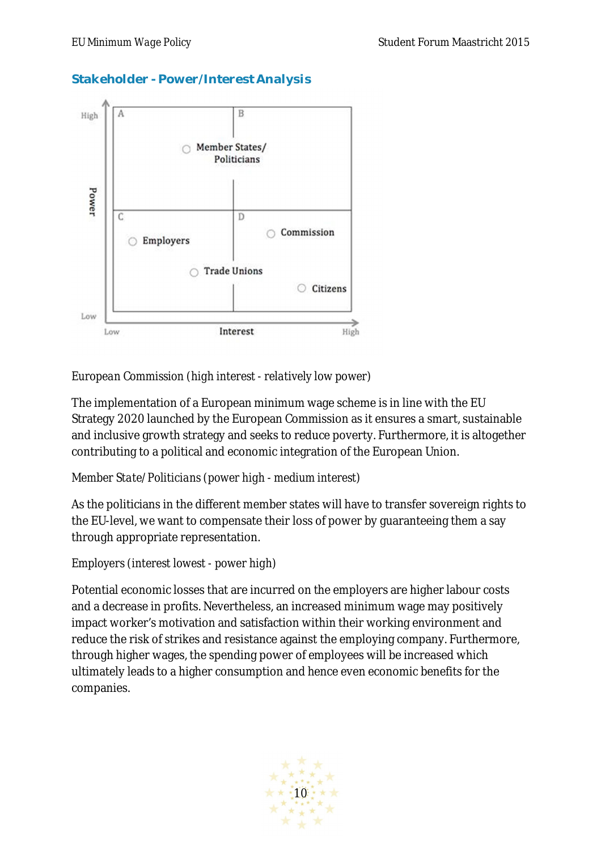## **Stakeholder - Power/Interest Analysis**



## *European Commission (high interest - relatively low power)*

The implementation of a European minimum wage scheme is in line with the EU Strategy 2020 launched by the European Commission as it ensures a smart, sustainable and inclusive growth strategy and seeks to reduce poverty. Furthermore, it is altogether contributing to a political and economic integration of the European Union.

## *Member State/Politicians (power high - medium interest)*

As the politicians in the different member states will have to transfer sovereign rights to the EU-level, we want to compensate their loss of power by guaranteeing them a say through appropriate representation.

## *Employers (interest lowest - power high)*

Potential economic losses that are incurred on the employers are higher labour costs and a decrease in profits. Nevertheless, an increased minimum wage may positively impact worker's motivation and satisfaction within their working environment and reduce the risk of strikes and resistance against the employing company. Furthermore, through higher wages, the spending power of employees will be increased which ultimately leads to a higher consumption and hence even economic benefits for the companies.

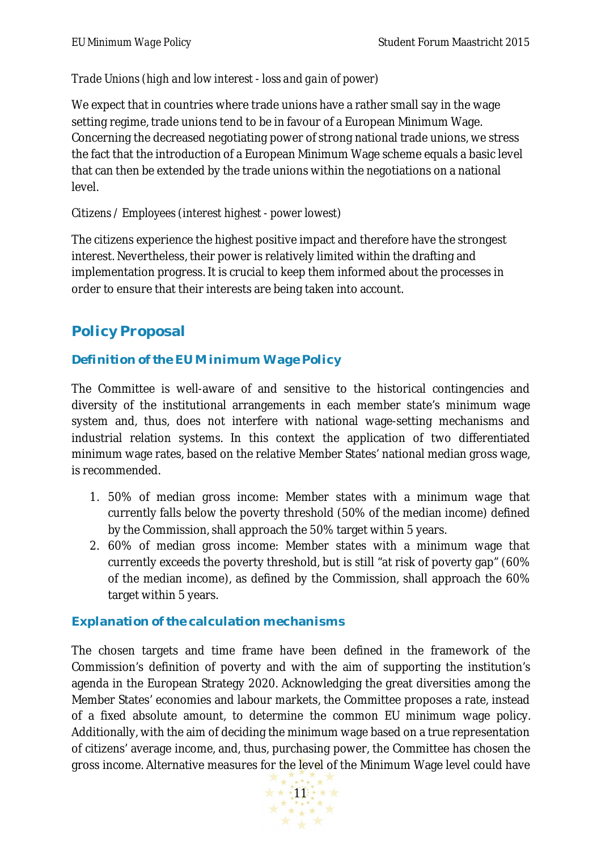## *Trade Unions (high and low interest - loss and gain of power)*

We expect that in countries where trade unions have a rather small say in the wage setting regime, trade unions tend to be in favour of a European Minimum Wage. Concerning the decreased negotiating power of strong national trade unions, we stress the fact that the introduction of a European Minimum Wage scheme equals a basic level that can then be extended by the trade unions within the negotiations on a national level.

## *Citizens / Employees (interest highest - power lowest)*

The citizens experience the highest positive impact and therefore have the strongest interest. Nevertheless, their power is relatively limited within the drafting and implementation progress. It is crucial to keep them informed about the processes in order to ensure that their interests are being taken into account.

# **Policy Proposal**

## **Definition of the EU Minimum Wage Policy**

The Committee is well-aware of and sensitive to the historical contingencies and diversity of the institutional arrangements in each member state's minimum wage system and, thus, does not interfere with national wage-setting mechanisms and industrial relation systems. In this context the application of two differentiated minimum wage rates, based on the relative Member States' national median gross wage, is recommended.

- 1. 50% of median gross income: Member states with a minimum wage that currently falls below the poverty threshold (50% of the median income) defined by the Commission, shall approach the 50% target within 5 years.
- 2. 60% of median gross income: Member states with a minimum wage that currently exceeds the poverty threshold, but is still "at risk of poverty gap" (60% of the median income), as defined by the Commission, shall approach the 60% target within 5 years.

## **Explanation of the calculation mechanisms**

The chosen targets and time frame have been defined in the framework of the Commission's definition of poverty and with the aim of supporting the institution's agenda in the European Strategy 2020. Acknowledging the great diversities among the Member States' economies and labour markets, the Committee proposes a rate, instead of a fixed absolute amount, to determine the common EU minimum wage policy. Additionally, with the aim of deciding the minimum wage based on a true representation of citizens' average income, and, thus, purchasing power, the Committee has chosen the gross income. Alternative measures for the level of the Minimum Wage level could have

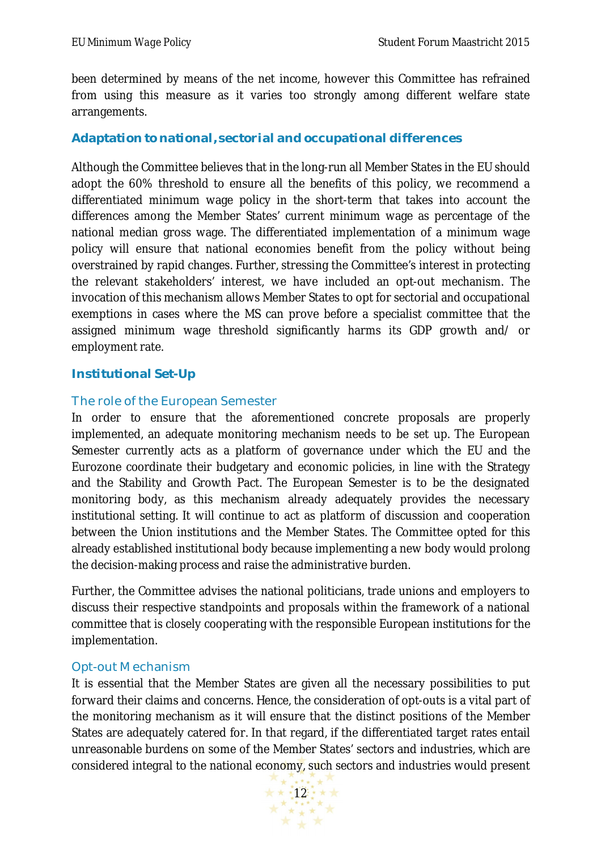been determined by means of the net income, however this Committee has refrained from using this measure as it varies too strongly among different welfare state arrangements.

#### **Adaptation to national, sectorial and occupational differences**

Although the Committee believes that in the long-run all Member States in the EU should adopt the 60% threshold to ensure all the benefits of this policy, we recommend a differentiated minimum wage policy in the short-term that takes into account the differences among the Member States' current minimum wage as percentage of the national median gross wage. The differentiated implementation of a minimum wage policy will ensure that national economies benefit from the policy without being overstrained by rapid changes. Further, stressing the Committee's interest in protecting the relevant stakeholders' interest, we have included an opt-out mechanism. The invocation of this mechanism allows Member States to opt for sectorial and occupational exemptions in cases where the MS can prove before a specialist committee that the assigned minimum wage threshold significantly harms its GDP growth and/ or employment rate.

#### **Institutional Set-Up**

#### The role of the European Semester

In order to ensure that the aforementioned concrete proposals are properly implemented, an adequate monitoring mechanism needs to be set up. The European Semester currently acts as a platform of governance under which the EU and the Eurozone coordinate their budgetary and economic policies, in line with the Strategy and the Stability and Growth Pact. The European Semester is to be the designated monitoring body, as this mechanism already adequately provides the necessary institutional setting. It will continue to act as platform of discussion and cooperation between the Union institutions and the Member States. The Committee opted for this already established institutional body because implementing a new body would prolong the decision-making process and raise the administrative burden.

Further, the Committee advises the national politicians, trade unions and employers to discuss their respective standpoints and proposals within the framework of a national committee that is closely cooperating with the responsible European institutions for the implementation.

#### Opt-out Mechanism

It is essential that the Member States are given all the necessary possibilities to put forward their claims and concerns. Hence, the consideration of opt-outs is a vital part of the monitoring mechanism as it will ensure that the distinct positions of the Member States are adequately catered for. In that regard, if the differentiated target rates entail unreasonable burdens on some of the Member States' sectors and industries, which are considered integral to the national economy, such sectors and industries would present